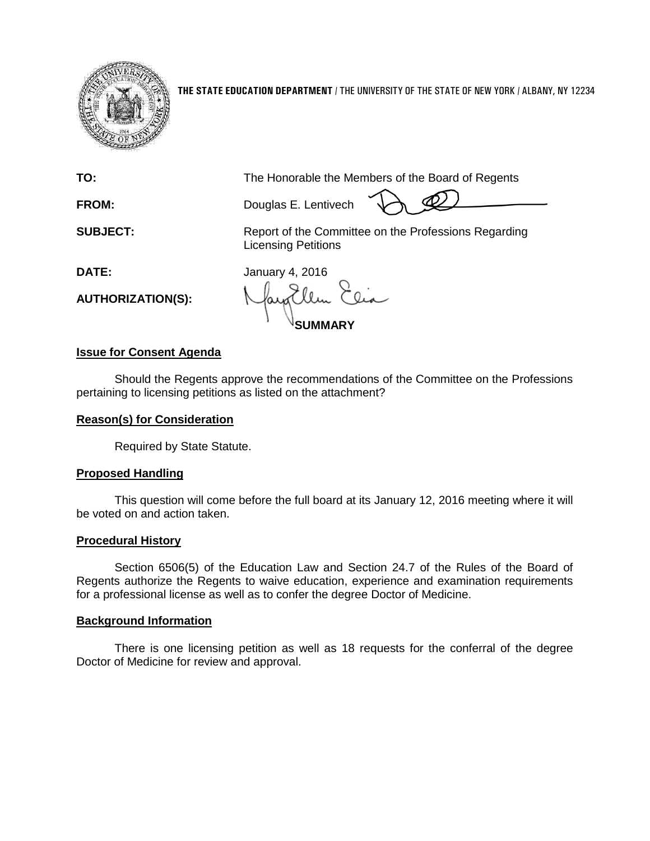

**THE STATE EDUCATION DEPARTMENT** / THE UNIVERSITY OF THE STATE OF NEW YORK / ALBANY, NY 12234

**TO:** The Honorable the Members of the Board of Regents

FROM: Douglas E. Lentivech

**SUBJECT:** Report of the Committee on the Professions Regarding Licensing Petitions

**DATE:** January 4, 2016

**AUTHORIZATION(S):**

**SUMMARY**

# **Issue for Consent Agenda**

Should the Regents approve the recommendations of the Committee on the Professions pertaining to licensing petitions as listed on the attachment?

# **Reason(s) for Consideration**

Required by State Statute.

# **Proposed Handling**

This question will come before the full board at its January 12, 2016 meeting where it will be voted on and action taken.

# **Procedural History**

Section 6506(5) of the Education Law and Section 24.7 of the Rules of the Board of Regents authorize the Regents to waive education, experience and examination requirements for a professional license as well as to confer the degree Doctor of Medicine.

# **Background Information**

There is one licensing petition as well as 18 requests for the conferral of the degree Doctor of Medicine for review and approval.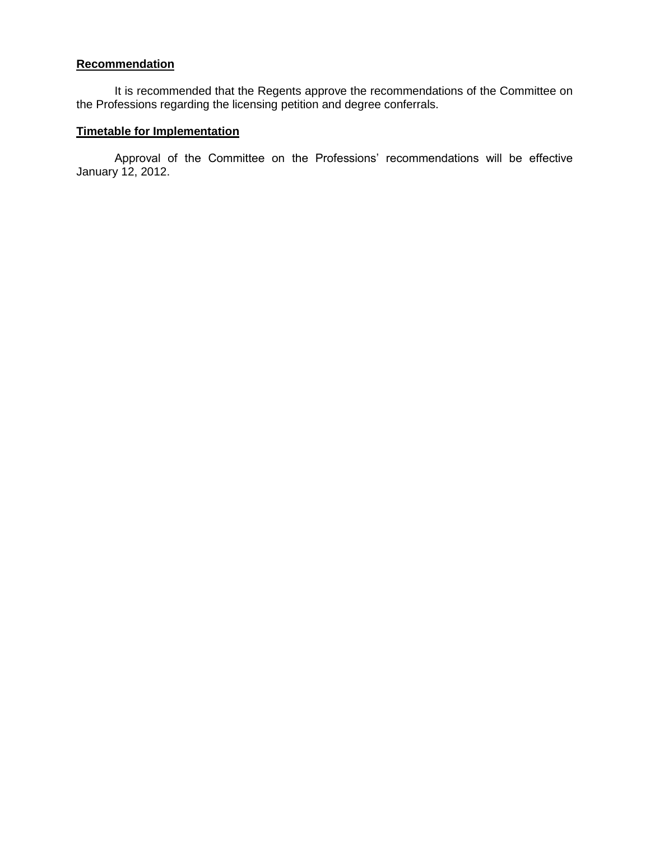# **Recommendation**

It is recommended that the Regents approve the recommendations of the Committee on the Professions regarding the licensing petition and degree conferrals.

# **Timetable for Implementation**

Approval of the Committee on the Professions' recommendations will be effective January 12, 2012.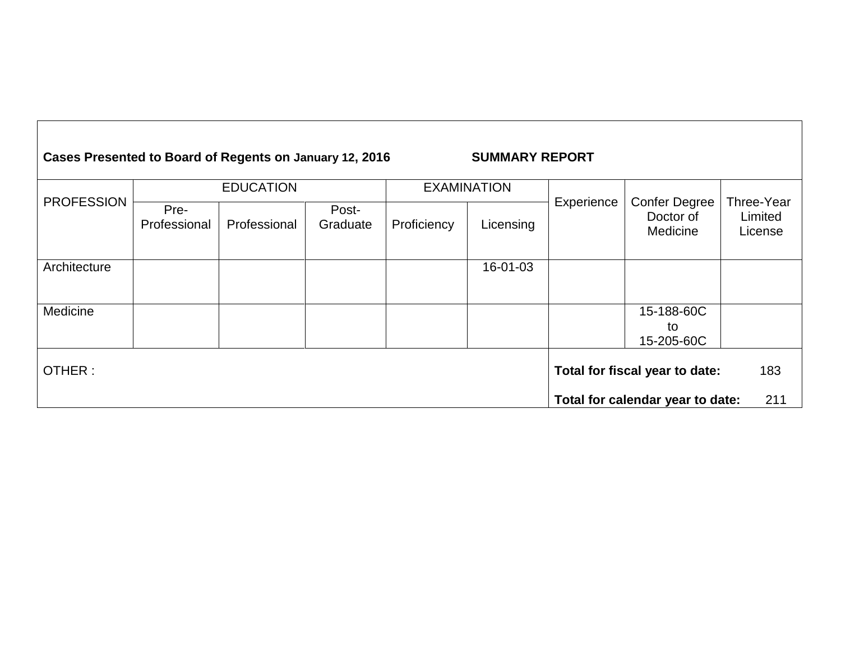| Cases Presented to Board of Regents on January 12, 2016 | <b>SUMMARY REPORT</b> |
|---------------------------------------------------------|-----------------------|
|---------------------------------------------------------|-----------------------|

| <b>PROFESSION</b> | <b>EDUCATION</b>     |              |                                       | <b>EXAMINATION</b> |           |            |                                               |                                  |
|-------------------|----------------------|--------------|---------------------------------------|--------------------|-----------|------------|-----------------------------------------------|----------------------------------|
|                   | Pre-<br>Professional | Professional | Post-<br>Graduate                     | Proficiency        | Licensing | Experience | <b>Confer Degree</b><br>Doctor of<br>Medicine | Three-Year<br>Limited<br>License |
| Architecture      |                      |              |                                       |                    | 16-01-03  |            |                                               |                                  |
| Medicine          |                      |              |                                       |                    |           |            | 15-188-60C<br>to<br>15-205-60C                |                                  |
| OTHER:            |                      |              | 183<br>Total for fiscal year to date: |                    |           |            |                                               |                                  |
|                   |                      |              |                                       |                    |           |            | Total for calendar year to date:              | 211                              |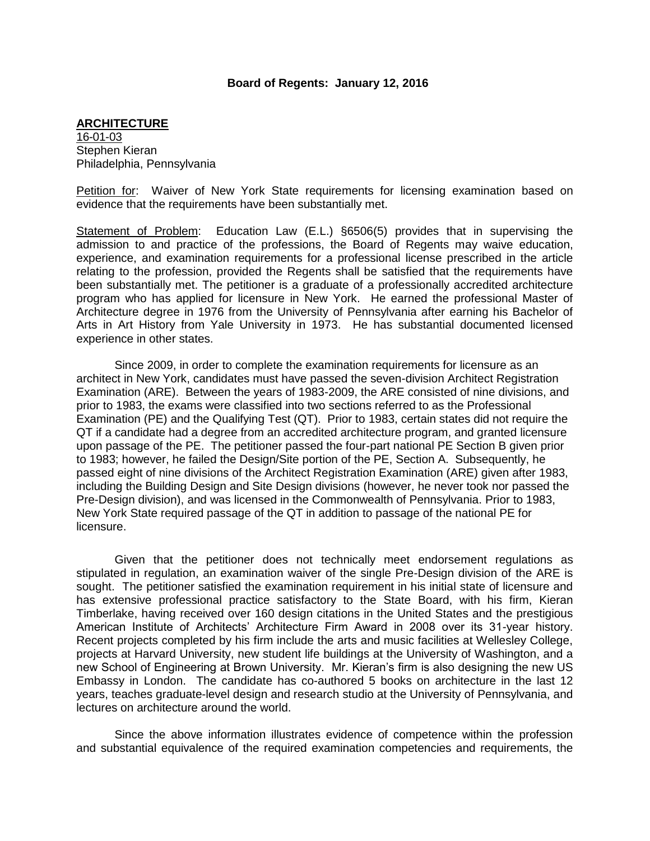### **Board of Regents: January 12, 2016**

#### **ARCHITECTURE**

16-01-03 Stephen Kieran Philadelphia, Pennsylvania

Petition for: Waiver of New York State requirements for licensing examination based on evidence that the requirements have been substantially met.

Statement of Problem: Education Law (E.L.) §6506(5) provides that in supervising the admission to and practice of the professions, the Board of Regents may waive education, experience, and examination requirements for a professional license prescribed in the article relating to the profession, provided the Regents shall be satisfied that the requirements have been substantially met. The petitioner is a graduate of a professionally accredited architecture program who has applied for licensure in New York. He earned the professional Master of Architecture degree in 1976 from the University of Pennsylvania after earning his Bachelor of Arts in Art History from Yale University in 1973. He has substantial documented licensed experience in other states.

Since 2009, in order to complete the examination requirements for licensure as an architect in New York, candidates must have passed the seven-division Architect Registration Examination (ARE). Between the years of 1983-2009, the ARE consisted of nine divisions, and prior to 1983, the exams were classified into two sections referred to as the Professional Examination (PE) and the Qualifying Test (QT). Prior to 1983, certain states did not require the QT if a candidate had a degree from an accredited architecture program, and granted licensure upon passage of the PE. The petitioner passed the four-part national PE Section B given prior to 1983; however, he failed the Design/Site portion of the PE, Section A. Subsequently, he passed eight of nine divisions of the Architect Registration Examination (ARE) given after 1983, including the Building Design and Site Design divisions (however, he never took nor passed the Pre-Design division), and was licensed in the Commonwealth of Pennsylvania. Prior to 1983, New York State required passage of the QT in addition to passage of the national PE for licensure.

Given that the petitioner does not technically meet endorsement regulations as stipulated in regulation, an examination waiver of the single Pre-Design division of the ARE is sought. The petitioner satisfied the examination requirement in his initial state of licensure and has extensive professional practice satisfactory to the State Board, with his firm, Kieran Timberlake, having received over 160 design citations in the United States and the prestigious American Institute of Architects' Architecture Firm Award in 2008 over its 31-year history. Recent projects completed by his firm include the arts and music facilities at Wellesley College, projects at Harvard University, new student life buildings at the University of Washington, and a new School of Engineering at Brown University. Mr. Kieran's firm is also designing the new US Embassy in London. The candidate has co-authored 5 books on architecture in the last 12 years, teaches graduate-level design and research studio at the University of Pennsylvania, and lectures on architecture around the world.

Since the above information illustrates evidence of competence within the profession and substantial equivalence of the required examination competencies and requirements, the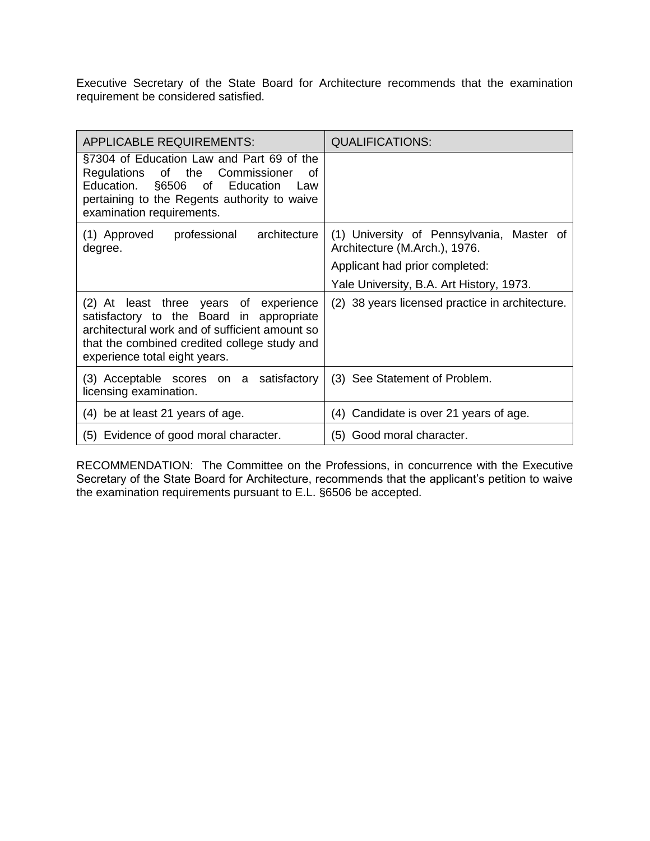Executive Secretary of the State Board for Architecture recommends that the examination requirement be considered satisfied.

| <b>APPLICABLE REQUIREMENTS:</b>                                                                                                                                                                                       | <b>QUALIFICATIONS:</b>                                                     |
|-----------------------------------------------------------------------------------------------------------------------------------------------------------------------------------------------------------------------|----------------------------------------------------------------------------|
| §7304 of Education Law and Part 69 of the<br>Regulations of the Commissioner<br>οf<br>Education. §6506 of Education<br>– Law<br>pertaining to the Regents authority to waive<br>examination requirements.             |                                                                            |
| architecture<br>(1) Approved<br>professional<br>degree.                                                                                                                                                               | (1) University of Pennsylvania, Master of<br>Architecture (M.Arch.), 1976. |
|                                                                                                                                                                                                                       | Applicant had prior completed:                                             |
|                                                                                                                                                                                                                       | Yale University, B.A. Art History, 1973.                                   |
| (2) At least three years of experience<br>satisfactory to the Board in appropriate<br>architectural work and of sufficient amount so<br>that the combined credited college study and<br>experience total eight years. | (2) 38 years licensed practice in architecture.                            |
| (3) Acceptable scores on a satisfactory<br>licensing examination.                                                                                                                                                     | (3) See Statement of Problem.                                              |
| (4) be at least 21 years of age.                                                                                                                                                                                      | (4) Candidate is over 21 years of age.                                     |
| (5) Evidence of good moral character.                                                                                                                                                                                 | (5) Good moral character.                                                  |

RECOMMENDATION: The Committee on the Professions, in concurrence with the Executive Secretary of the State Board for Architecture, recommends that the applicant's petition to waive the examination requirements pursuant to E.L. §6506 be accepted.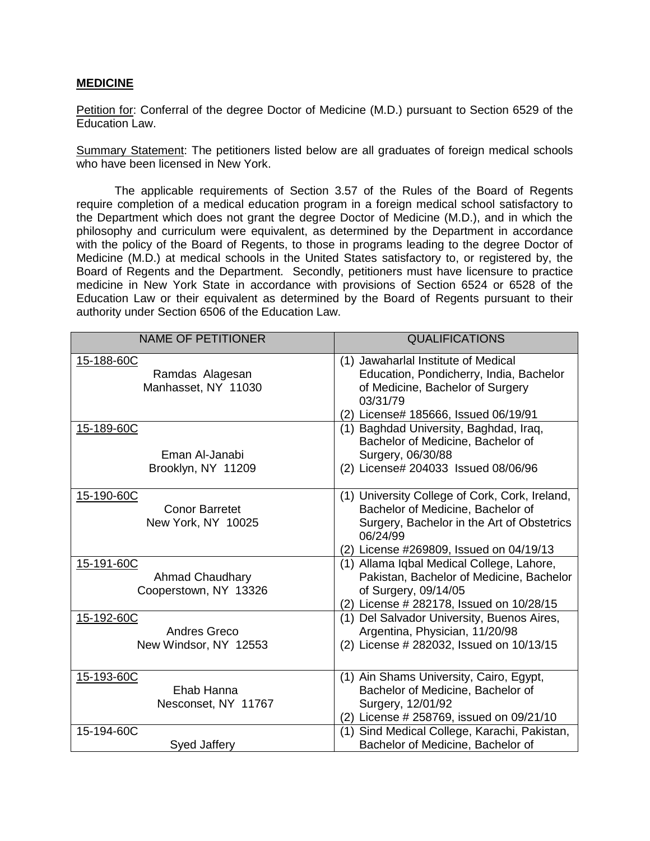## **MEDICINE**

Petition for: Conferral of the degree Doctor of Medicine (M.D.) pursuant to Section 6529 of the Education Law.

Summary Statement: The petitioners listed below are all graduates of foreign medical schools who have been licensed in New York.

The applicable requirements of Section 3.57 of the Rules of the Board of Regents require completion of a medical education program in a foreign medical school satisfactory to the Department which does not grant the degree Doctor of Medicine (M.D.), and in which the philosophy and curriculum were equivalent, as determined by the Department in accordance with the policy of the Board of Regents, to those in programs leading to the degree Doctor of Medicine (M.D.) at medical schools in the United States satisfactory to, or registered by, the Board of Regents and the Department. Secondly, petitioners must have licensure to practice medicine in New York State in accordance with provisions of Section 6524 or 6528 of the Education Law or their equivalent as determined by the Board of Regents pursuant to their authority under Section 6506 of the Education Law.

| <b>NAME OF PETITIONER</b>                                 | <b>QUALIFICATIONS</b>                                                                                                                                                                    |
|-----------------------------------------------------------|------------------------------------------------------------------------------------------------------------------------------------------------------------------------------------------|
| 15-188-60C<br>Ramdas Alagesan<br>Manhasset, NY 11030      | (1) Jawaharlal Institute of Medical<br>Education, Pondicherry, India, Bachelor<br>of Medicine, Bachelor of Surgery<br>03/31/79<br>(2) License# 185666, Issued 06/19/91                   |
| 15-189-60C<br>Eman Al-Janabi<br>Brooklyn, NY 11209        | Baghdad University, Baghdad, Iraq,<br>(1)<br>Bachelor of Medicine, Bachelor of<br>Surgery, 06/30/88<br>(2) License# 204033 Issued 08/06/96                                               |
| 15-190-60C<br><b>Conor Barretet</b><br>New York, NY 10025 | (1) University College of Cork, Cork, Ireland,<br>Bachelor of Medicine, Bachelor of<br>Surgery, Bachelor in the Art of Obstetrics<br>06/24/99<br>(2) License #269809, Issued on 04/19/13 |
| 15-191-60C<br>Ahmad Chaudhary<br>Cooperstown, NY 13326    | (1) Allama Iqbal Medical College, Lahore,<br>Pakistan, Bachelor of Medicine, Bachelor<br>of Surgery, 09/14/05<br>(2) License # 282178, Issued on 10/28/15                                |
| 15-192-60C<br>Andres Greco<br>New Windsor, NY 12553       | Del Salvador University, Buenos Aires,<br>(1)<br>Argentina, Physician, 11/20/98<br>(2) License # 282032, Issued on 10/13/15                                                              |
| 15-193-60C<br>Ehab Hanna<br>Nesconset, NY 11767           | (1) Ain Shams University, Cairo, Egypt,<br>Bachelor of Medicine, Bachelor of<br>Surgery, 12/01/92<br>(2) License # 258769, issued on 09/21/10                                            |
| 15-194-60C<br>Syed Jaffery                                | (1) Sind Medical College, Karachi, Pakistan,<br>Bachelor of Medicine, Bachelor of                                                                                                        |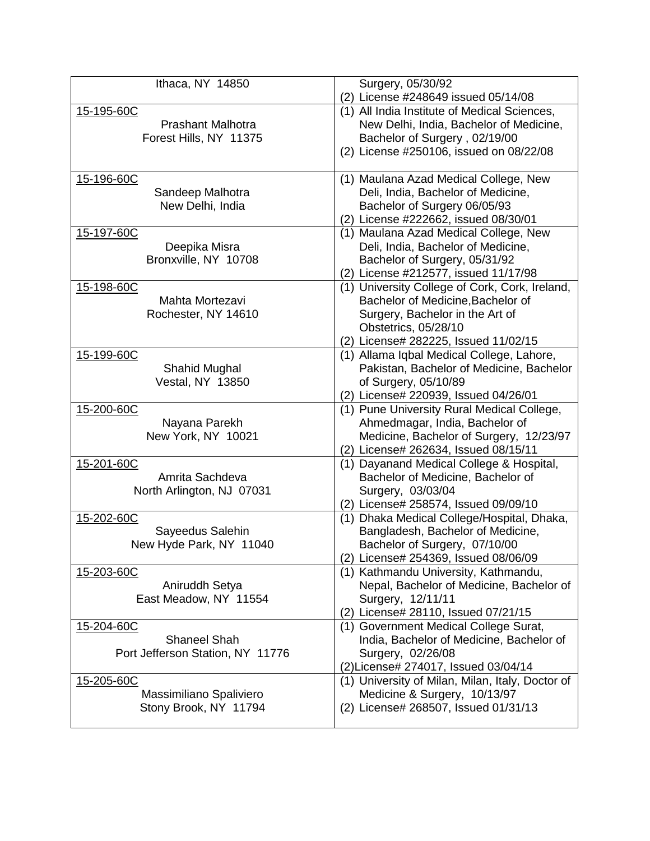| Ithaca, NY 14850                 | Surgery, 05/30/92                                                                 |
|----------------------------------|-----------------------------------------------------------------------------------|
|                                  | (2) License #248649 issued 05/14/08                                               |
| 15-195-60C                       | (1) All India Institute of Medical Sciences,                                      |
| <b>Prashant Malhotra</b>         | New Delhi, India, Bachelor of Medicine,                                           |
| Forest Hills, NY 11375           | Bachelor of Surgery, 02/19/00                                                     |
|                                  | (2) License #250106, issued on 08/22/08                                           |
| 15-196-60C                       | (1) Maulana Azad Medical College, New                                             |
| Sandeep Malhotra                 | Deli, India, Bachelor of Medicine,                                                |
| New Delhi, India                 | Bachelor of Surgery 06/05/93                                                      |
|                                  | (2) License #222662, issued 08/30/01                                              |
| 15-197-60C                       | (1) Maulana Azad Medical College, New                                             |
| Deepika Misra                    | Deli, India, Bachelor of Medicine,                                                |
| Bronxville, NY 10708             | Bachelor of Surgery, 05/31/92                                                     |
|                                  | (2) License #212577, issued 11/17/98                                              |
| 15-198-60C                       | (1) University College of Cork, Cork, Ireland,                                    |
| Mahta Mortezavi                  | Bachelor of Medicine, Bachelor of                                                 |
| Rochester, NY 14610              | Surgery, Bachelor in the Art of                                                   |
|                                  | Obstetrics, 05/28/10                                                              |
| 15-199-60C                       | (2) License# 282225, Issued 11/02/15<br>(1) Allama Iqbal Medical College, Lahore, |
| Shahid Mughal                    | Pakistan, Bachelor of Medicine, Bachelor                                          |
| <b>Vestal, NY 13850</b>          | of Surgery, 05/10/89                                                              |
|                                  | (2) License# 220939, Issued 04/26/01                                              |
| 15-200-60C                       | (1) Pune University Rural Medical College,                                        |
| Nayana Parekh                    | Ahmedmagar, India, Bachelor of                                                    |
| New York, NY 10021               | Medicine, Bachelor of Surgery, 12/23/97                                           |
|                                  | (2) License# 262634, Issued 08/15/11                                              |
| 15-201-60C                       | (1) Dayanand Medical College & Hospital,                                          |
| Amrita Sachdeva                  | Bachelor of Medicine, Bachelor of                                                 |
| North Arlington, NJ 07031        | Surgery, 03/03/04                                                                 |
|                                  | (2) License# 258574, Issued 09/09/10                                              |
| 15-202-60C                       | (1) Dhaka Medical College/Hospital, Dhaka,                                        |
| Sayeedus Salehin                 | Bangladesh, Bachelor of Medicine,                                                 |
| New Hyde Park, NY 11040          | Bachelor of Surgery, 07/10/00                                                     |
| 15-203-60C                       | (2) License# 254369, Issued 08/06/09<br>(1) Kathmandu University, Kathmandu,      |
| Aniruddh Setya                   | Nepal, Bachelor of Medicine, Bachelor of                                          |
| East Meadow, NY 11554            | Surgery, 12/11/11                                                                 |
|                                  | (2) License# 28110, Issued 07/21/15                                               |
| 15-204-60C                       | (1) Government Medical College Surat,                                             |
| <b>Shaneel Shah</b>              | India, Bachelor of Medicine, Bachelor of                                          |
| Port Jefferson Station, NY 11776 | Surgery, 02/26/08                                                                 |
|                                  | (2) License# 274017, Issued 03/04/14                                              |
| 15-205-60C                       | (1) University of Milan, Milan, Italy, Doctor of                                  |
| Massimiliano Spaliviero          | Medicine & Surgery, 10/13/97                                                      |
| Stony Brook, NY 11794            | (2) License# 268507, Issued 01/31/13                                              |
|                                  |                                                                                   |